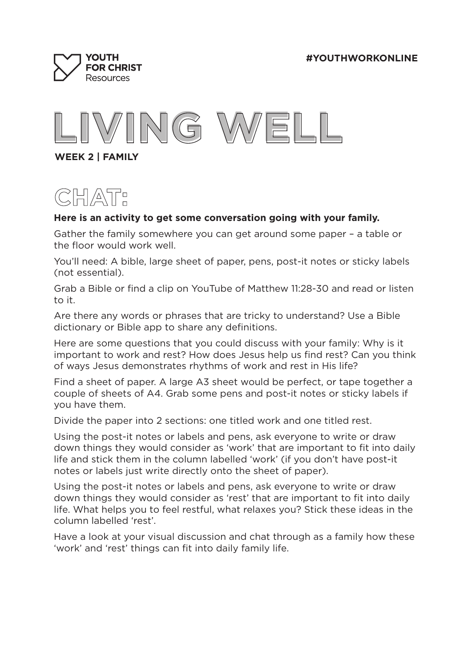



**WEEK 2 | FAMILY**



## **Here is an activity to get some conversation going with your family.**

Gather the family somewhere you can get around some paper – a table or the floor would work well.

You'll need: A bible, large sheet of paper, pens, post-it notes or sticky labels (not essential).

Grab a Bible or find a clip on YouTube of Matthew 11:28-30 and read or listen to it.

Are there any words or phrases that are tricky to understand? Use a Bible dictionary or Bible app to share any definitions.

Here are some questions that you could discuss with your family: Why is it important to work and rest? How does Jesus help us find rest? Can you think of ways Jesus demonstrates rhythms of work and rest in His life?

Find a sheet of paper. A large A3 sheet would be perfect, or tape together a couple of sheets of A4. Grab some pens and post-it notes or sticky labels if you have them.

Divide the paper into 2 sections: one titled work and one titled rest.

Using the post-it notes or labels and pens, ask everyone to write or draw down things they would consider as 'work' that are important to fit into daily life and stick them in the column labelled 'work' (if you don't have post-it notes or labels just write directly onto the sheet of paper).

Using the post-it notes or labels and pens, ask everyone to write or draw down things they would consider as 'rest' that are important to fit into daily life. What helps you to feel restful, what relaxes you? Stick these ideas in the column labelled 'rest'.

Have a look at your visual discussion and chat through as a family how these 'work' and 'rest' things can fit into daily family life.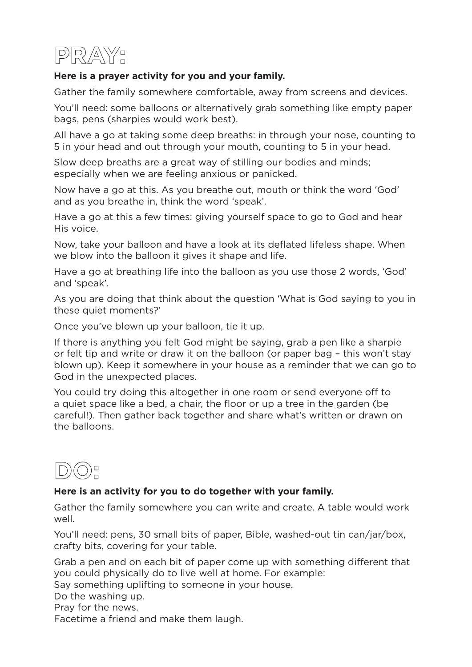

## **Here is a prayer activity for you and your family.**

Gather the family somewhere comfortable, away from screens and devices.

You'll need: some balloons or alternatively grab something like empty paper bags, pens (sharpies would work best).

All have a go at taking some deep breaths: in through your nose, counting to 5 in your head and out through your mouth, counting to 5 in your head.

Slow deep breaths are a great way of stilling our bodies and minds; especially when we are feeling anxious or panicked.

Now have a go at this. As you breathe out, mouth or think the word 'God' and as you breathe in, think the word 'speak'.

Have a go at this a few times: giving yourself space to go to God and hear His voice.

Now, take your balloon and have a look at its deflated lifeless shape. When we blow into the balloon it gives it shape and life.

Have a go at breathing life into the balloon as you use those 2 words, 'God' and 'speak'.

As you are doing that think about the question 'What is God saying to you in these quiet moments?'

Once you've blown up your balloon, tie it up.

If there is anything you felt God might be saying, grab a pen like a sharpie or felt tip and write or draw it on the balloon (or paper bag – this won't stay blown up). Keep it somewhere in your house as a reminder that we can go to God in the unexpected places.

You could try doing this altogether in one room or send everyone off to a quiet space like a bed, a chair, the floor or up a tree in the garden (be careful!). Then gather back together and share what's written or drawn on the balloons.



## **Here is an activity for you to do together with your family.**

Gather the family somewhere you can write and create. A table would work well.

You'll need: pens, 30 small bits of paper, Bible, washed-out tin can/jar/box, crafty bits, covering for your table.

Grab a pen and on each bit of paper come up with something different that you could physically do to live well at home. For example:

Say something uplifting to someone in your house.

Do the washing up.

Pray for the news.

Facetime a friend and make them laugh.